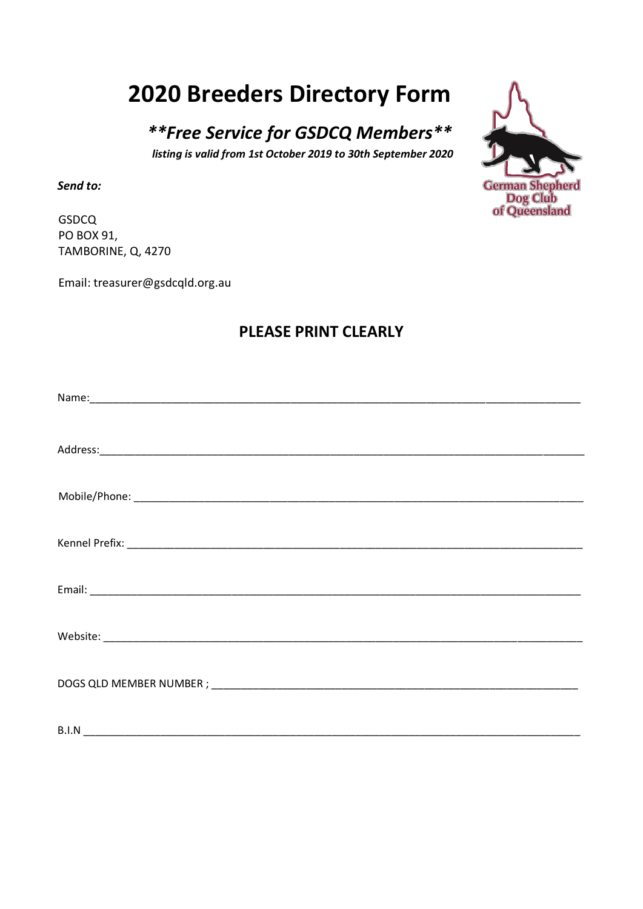## **2020 Breeders Directory Form**

\*\*Free Service for GSDCQ Members\*\* listing is valid from 1st October 2019 to 30th September 2020

Send to:

**GSDCQ** PO BOX 91, TAMBORINE, Q, 4270

Email: treasurer@gsdcqld.org.au

## **PLEASE PRINT CLEARLY**